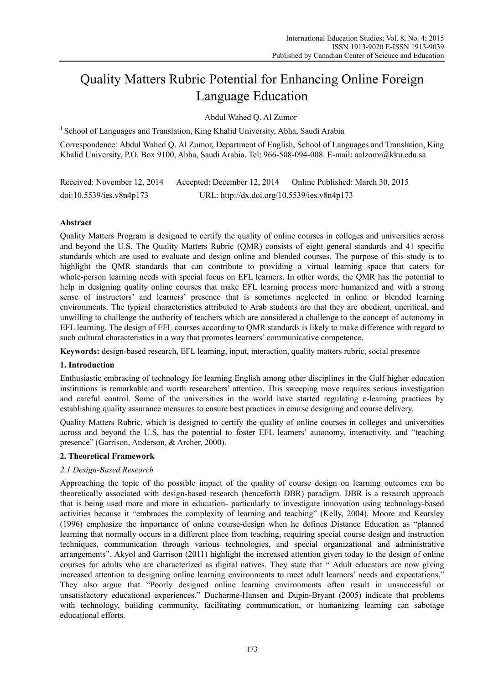# Quality Matters Rubric Potential for Enhancing Online Foreign Language Education

Abdul Wahed Q. Al Zumor<sup>1</sup>

<sup>1</sup> School of Languages and Translation, King Khalid University, Abha, Saudi Arabia

Correspondence: Abdul Wahed Q. Al Zumor, Department of English, School of Languages and Translation, King Khalid University, P.O. Box 9100, Abha, Saudi Arabia. Tel: 966-508-094-008. E-mail: aalzomr@kku.edu.sa

Received: November 12, 2014 Accepted: December 12, 2014 Online Published: March 30, 2015 doi:10.5539/ies.v8n4p173 URL: http://dx.doi.org/10.5539/ies.v8n4p173

# **Abstract**

Quality Matters Program is designed to certify the quality of online courses in colleges and universities across and beyond the U.S. The Quality Matters Rubric (QMR) consists of eight general standards and 41 specific standards which are used to evaluate and design online and blended courses. The purpose of this study is to highlight the QMR standards that can contribute to providing a virtual learning space that caters for whole-person learning needs with special focus on EFL learners. In other words, the QMR has the potential to help in designing quality online courses that make EFL learning process more humanized and with a strong sense of instructors' and learners' presence that is sometimes neglected in online or blended learning environments. The typical characteristics attributed to Arab students are that they are obedient, uncritical, and unwilling to challenge the authority of teachers which are considered a challenge to the concept of autonomy in EFL learning. The design of EFL courses according to QMR standards is likely to make difference with regard to such cultural characteristics in a way that promotes learners' communicative competence.

**Keywords:** design-based research, EFL learning, input, interaction, quality matters rubric, social presence

# **1. Introduction**

Enthusiastic embracing of technology for learning English among other disciplines in the Gulf higher education institutions is remarkable and worth researchers' attention. This sweeping move requires serious investigation and careful control. Some of the universities in the world have started regulating e-learning practices by establishing quality assurance measures to ensure best practices in course designing and course delivery.

Quality Matters Rubric, which is designed to certify the quality of online courses in colleges and universities across and beyond the U.S, has the potential to foster EFL learners' autonomy, interactivity, and "teaching presence" (Garrison, Anderson, & Archer, 2000).

# **2. Theoretical Framework**

# *2.1 Design-Based Research*

Approaching the topic of the possible impact of the quality of course design on learning outcomes can be theoretically associated with design-based research (henceforth DBR) paradigm. DBR is a research approach that is being used more and more in education- particularly to investigate innovation using technology-based activities because it "embraces the complexity of learning and teaching" (Kelly, 2004). Moore and Kearsley (1996) emphasize the importance of online course-design when he defines Distance Education as "planned learning that normally occurs in a different place from teaching, requiring special course design and instruction techniques, communication through various technologies, and special organizational and administrative arrangements". Akyol and Garrison (2011) highlight the increased attention given today to the design of online courses for adults who are characterized as digital natives. They state that " Adult educators are now giving increased attention to designing online learning environments to meet adult learners' needs and expectations." They also argue that "Poorly designed online learning environments often result in unsuccessful or unsatisfactory educational experiences." Ducharme-Hansen and Dupin-Bryant (2005) indicate that problems with technology, building community, facilitating communication, or humanizing learning can sabotage educational efforts.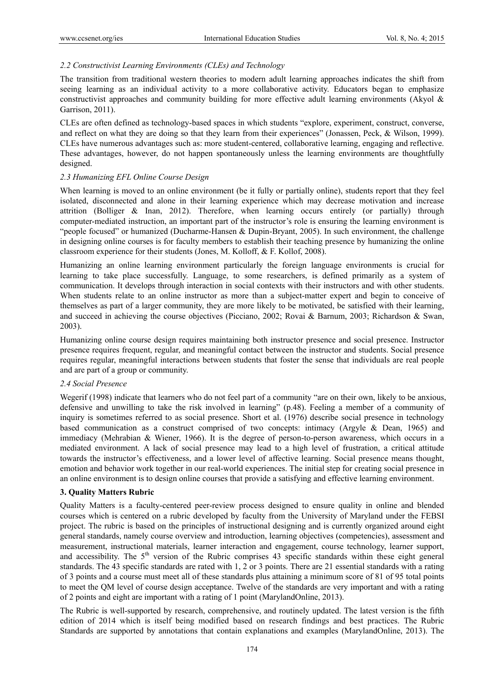## *2.2 Constructivist Learning Environments (CLEs) and Technology*

The transition from traditional western theories to modern adult learning approaches indicates the shift from seeing learning as an individual activity to a more collaborative activity. Educators began to emphasize constructivist approaches and community building for more effective adult learning environments (Akyol & Garrison, 2011).

CLEs are often defined as technology-based spaces in which students "explore, experiment, construct, converse, and reflect on what they are doing so that they learn from their experiences" (Jonassen, Peck, & Wilson, 1999). CLEs have numerous advantages such as: more student-centered, collaborative learning, engaging and reflective. These advantages, however, do not happen spontaneously unless the learning environments are thoughtfully designed.

## *2.3 Humanizing EFL Online Course Design*

When learning is moved to an online environment (be it fully or partially online), students report that they feel isolated, disconnected and alone in their learning experience which may decrease motivation and increase attrition (Bolliger & Inan, 2012). Therefore, when learning occurs entirely (or partially) through computer-mediated instruction, an important part of the instructor's role is ensuring the learning environment is "people focused" or humanized (Ducharme-Hansen & Dupin-Bryant, 2005). In such environment, the challenge in designing online courses is for faculty members to establish their teaching presence by humanizing the online classroom experience for their students (Jones, M. Kolloff, & F. Kollof, 2008).

Humanizing an online learning environment particularly the foreign language environments is crucial for learning to take place successfully. Language, to some researchers, is defined primarily as a system of communication. It develops through interaction in social contexts with their instructors and with other students. When students relate to an online instructor as more than a subject-matter expert and begin to conceive of themselves as part of a larger community, they are more likely to be motivated, be satisfied with their learning, and succeed in achieving the course objectives (Picciano, 2002; Rovai & Barnum, 2003; Richardson & Swan, 2003).

Humanizing online course design requires maintaining both instructor presence and social presence. Instructor presence requires frequent, regular, and meaningful contact between the instructor and students. Social presence requires regular, meaningful interactions between students that foster the sense that individuals are real people and are part of a group or community.

#### *2.4 Social Presence*

Wegerif (1998) indicate that learners who do not feel part of a community "are on their own, likely to be anxious, defensive and unwilling to take the risk involved in learning" (p.48). Feeling a member of a community of inquiry is sometimes referred to as social presence. Short et al. (1976) describe social presence in technology based communication as a construct comprised of two concepts: intimacy (Argyle & Dean, 1965) and immediacy (Mehrabian & Wiener, 1966). It is the degree of person-to-person awareness, which occurs in a mediated environment. A lack of social presence may lead to a high level of frustration, a critical attitude towards the instructor's effectiveness, and a lower level of affective learning. Social presence means thought, emotion and behavior work together in our real-world experiences. The initial step for creating social presence in an online environment is to design online courses that provide a satisfying and effective learning environment.

#### **3. Quality Matters Rubric**

Quality Matters is a faculty-centered peer-review process designed to ensure quality in online and blended courses which is centered on a rubric developed by faculty from the University of Maryland under the FEBSI project. The rubric is based on the principles of instructional designing and is currently organized around eight general standards, namely course overview and introduction, learning objectives (competencies), assessment and measurement, instructional materials, learner interaction and engagement, course technology, learner support, and accessibility. The  $5<sup>th</sup>$  version of the Rubric comprises 43 specific standards within these eight general standards. The 43 specific standards are rated with 1, 2 or 3 points. There are 21 essential standards with a rating of 3 points and a course must meet all of these standards plus attaining a minimum score of 81 of 95 total points to meet the QM level of course design acceptance. Twelve of the standards are very important and with a rating of 2 points and eight are important with a rating of 1 point (MarylandOnline, 2013).

The Rubric is well-supported by research, comprehensive, and routinely updated. The latest version is the fifth edition of 2014 which is itself being modified based on research findings and best practices. The Rubric Standards are supported by annotations that contain explanations and examples (MarylandOnline, 2013). The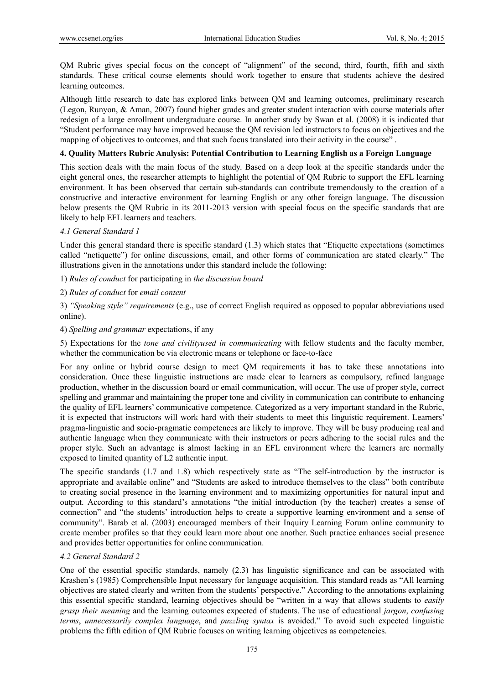QM Rubric gives special focus on the concept of "alignment" of the second, third, fourth, fifth and sixth standards. These critical course elements should work together to ensure that students achieve the desired learning outcomes.

Although little research to date has explored links between QM and learning outcomes, preliminary research (Legon, Runyon, & Aman, 2007) found higher grades and greater student interaction with course materials after redesign of a large enrollment undergraduate course. In another study by Swan et al. (2008) it is indicated that "Student performance may have improved because the QM revision led instructors to focus on objectives and the mapping of objectives to outcomes, and that such focus translated into their activity in the course" .

#### **4. Quality Matters Rubric Analysis: Potential Contribution to Learning English as a Foreign Language**

This section deals with the main focus of the study. Based on a deep look at the specific standards under the eight general ones, the researcher attempts to highlight the potential of QM Rubric to support the EFL learning environment. It has been observed that certain sub-standards can contribute tremendously to the creation of a constructive and interactive environment for learning English or any other foreign language. The discussion below presents the QM Rubric in its 2011-2013 version with special focus on the specific standards that are likely to help EFL learners and teachers.

#### *4.1 General Standard 1*

Under this general standard there is specific standard (1.3) which states that "Etiquette expectations (sometimes called "netiquette") for online discussions, email, and other forms of communication are stated clearly." The illustrations given in the annotations under this standard include the following:

1) *Rules of conduct* for participating in *the discussion board*

2) *Rules of conduct* for *email content*

3) *"Speaking style" requirements* (e.g., use of correct English required as opposed to popular abbreviations used online).

#### 4) *Spelling and grammar* expectations, if any

5) Expectations for the *tone and civilityused in communicating* with fellow students and the faculty member, whether the communication be via electronic means or telephone or face-to-face

For any online or hybrid course design to meet QM requirements it has to take these annotations into consideration. Once these linguistic instructions are made clear to learners as compulsory, refined language production, whether in the discussion board or email communication, will occur. The use of proper style, correct spelling and grammar and maintaining the proper tone and civility in communication can contribute to enhancing the quality of EFL learners' communicative competence. Categorized as a very important standard in the Rubric, it is expected that instructors will work hard with their students to meet this linguistic requirement. Learners' pragma-linguistic and socio-pragmatic competences are likely to improve. They will be busy producing real and authentic language when they communicate with their instructors or peers adhering to the social rules and the proper style. Such an advantage is almost lacking in an EFL environment where the learners are normally exposed to limited quantity of L2 authentic input.

The specific standards (1.7 and 1.8) which respectively state as "The self-introduction by the instructor is appropriate and available online" and "Students are asked to introduce themselves to the class" both contribute to creating social presence in the learning environment and to maximizing opportunities for natural input and output. According to this standard's annotations "the initial introduction (by the teacher) creates a sense of connection" and "the students' introduction helps to create a supportive learning environment and a sense of community". Barab et al. (2003) encouraged members of their Inquiry Learning Forum online community to create member profiles so that they could learn more about one another. Such practice enhances social presence and provides better opportunities for online communication.

#### *4.2 General Standard 2*

One of the essential specific standards, namely (2.3) has linguistic significance and can be associated with Krashen's (1985) Comprehensible Input necessary for language acquisition. This standard reads as "All learning objectives are stated clearly and written from the students' perspective." According to the annotations explaining this essential specific standard, learning objectives should be "written in a way that allows students to *easily grasp their meaning* and the learning outcomes expected of students. The use of educational *jargon*, *confusing terms*, *unnecessarily complex language*, and *puzzling syntax* is avoided." To avoid such expected linguistic problems the fifth edition of QM Rubric focuses on writing learning objectives as competencies.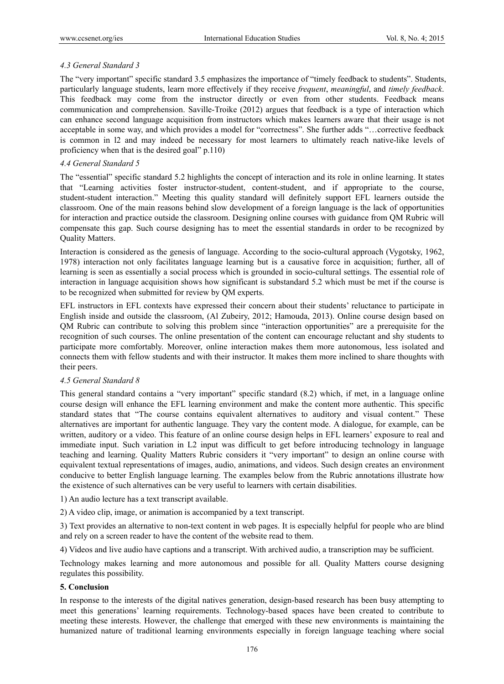## *4.3 General Standard 3*

The "very important" specific standard 3.5 emphasizes the importance of "timely feedback to students". Students, particularly language students, learn more effectively if they receive *frequent*, *meaningful*, and *timely feedback*. This feedback may come from the instructor directly or even from other students. Feedback means communication and comprehension. Saville-Troike (2012) argues that feedback is a type of interaction which can enhance second language acquisition from instructors which makes learners aware that their usage is not acceptable in some way, and which provides a model for "correctness". She further adds "…corrective feedback is common in l2 and may indeed be necessary for most learners to ultimately reach native-like levels of proficiency when that is the desired goal" p.110)

## *4.4 General Standard 5*

The "essential" specific standard 5.2 highlights the concept of interaction and its role in online learning. It states that "Learning activities foster instructor-student, content-student, and if appropriate to the course, student-student interaction." Meeting this quality standard will definitely support EFL learners outside the classroom. One of the main reasons behind slow development of a foreign language is the lack of opportunities for interaction and practice outside the classroom. Designing online courses with guidance from QM Rubric will compensate this gap. Such course designing has to meet the essential standards in order to be recognized by Quality Matters.

Interaction is considered as the genesis of language. According to the socio-cultural approach (Vygotsky, 1962, 1978) interaction not only facilitates language learning but is a causative force in acquisition; further, all of learning is seen as essentially a social process which is grounded in socio-cultural settings. The essential role of interaction in language acquisition shows how significant is substandard 5.2 which must be met if the course is to be recognized when submitted for review by QM experts.

EFL instructors in EFL contexts have expressed their concern about their students' reluctance to participate in English inside and outside the classroom, (Al Zubeiry, 2012; Hamouda, 2013). Online course design based on QM Rubric can contribute to solving this problem since "interaction opportunities" are a prerequisite for the recognition of such courses. The online presentation of the content can encourage reluctant and shy students to participate more comfortably. Moreover, online interaction makes them more autonomous, less isolated and connects them with fellow students and with their instructor. It makes them more inclined to share thoughts with their peers.

#### *4.5 General Standard 8*

This general standard contains a "very important" specific standard (8.2) which, if met, in a language online course design will enhance the EFL learning environment and make the content more authentic. This specific standard states that "The course contains equivalent alternatives to auditory and visual content." These alternatives are important for authentic language. They vary the content mode. A dialogue, for example, can be written, auditory or a video. This feature of an online course design helps in EFL learners' exposure to real and immediate input. Such variation in L2 input was difficult to get before introducing technology in language teaching and learning. Quality Matters Rubric considers it "very important" to design an online course with equivalent textual representations of images, audio, animations, and videos. Such design creates an environment conducive to better English language learning. The examples below from the Rubric annotations illustrate how the existence of such alternatives can be very useful to learners with certain disabilities.

1) An audio lecture has a text transcript available.

2) A video clip, image, or animation is accompanied by a text transcript.

3) Text provides an alternative to non-text content in web pages. It is especially helpful for people who are blind and rely on a screen reader to have the content of the website read to them.

4) Videos and live audio have captions and a transcript. With archived audio, a transcription may be sufficient.

Technology makes learning and more autonomous and possible for all. Quality Matters course designing regulates this possibility.

## **5. Conclusion**

In response to the interests of the digital natives generation, design-based research has been busy attempting to meet this generations' learning requirements. Technology-based spaces have been created to contribute to meeting these interests. However, the challenge that emerged with these new environments is maintaining the humanized nature of traditional learning environments especially in foreign language teaching where social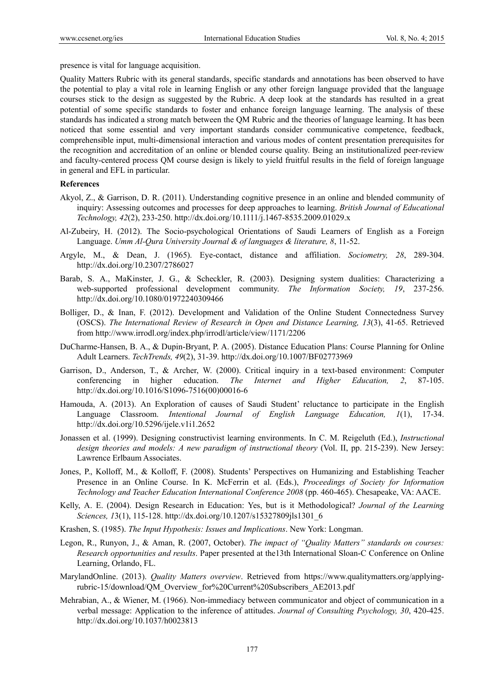presence is vital for language acquisition.

Quality Matters Rubric with its general standards, specific standards and annotations has been observed to have the potential to play a vital role in learning English or any other foreign language provided that the language courses stick to the design as suggested by the Rubric. A deep look at the standards has resulted in a great potential of some specific standards to foster and enhance foreign language learning. The analysis of these standards has indicated a strong match between the QM Rubric and the theories of language learning. It has been noticed that some essential and very important standards consider communicative competence, feedback, comprehensible input, multi-dimensional interaction and various modes of content presentation prerequisites for the recognition and accreditation of an online or blended course quality. Being an institutionalized peer-review and faculty-centered process QM course design is likely to yield fruitful results in the field of foreign language in general and EFL in particular.

#### **References**

- Akyol, Z., & Garrison, D. R. (2011). Understanding cognitive presence in an online and blended community of inquiry: Assessing outcomes and processes for deep approaches to learning. *British Journal of Educational Technology, 42*(2), 233-250. http://dx.doi.org/10.1111/j.1467-8535.2009.01029.x
- Al-Zubeiry, H. (2012). The Socio-psychological Orientations of Saudi Learners of English as a Foreign Language. *Umm Al-Qura University Journal & of languages & literature, 8*, 11-52.
- Argyle, M., & Dean, J. (1965). Eye-contact, distance and affiliation. *Sociometry, 28*, 289-304. http://dx.doi.org/10.2307/2786027
- Barab, S. A., MaKinster, J. G., & Scheckler, R. (2003). Designing system dualities: Characterizing a web-supported professional development community. *The Information Society, 19*, 237-256. http://dx.doi.org/10.1080/01972240309466
- Bolliger, D., & Inan, F. (2012). Development and Validation of the Online Student Connectedness Survey (OSCS). *The International Review of Research in Open and Distance Learning, 13*(3), 41-65. Retrieved from http://www.irrodl.org/index.php/irrodl/article/view/1171/2206
- DuCharme-Hansen, B. A., & Dupin-Bryant, P. A. (2005). Distance Education Plans: Course Planning for Online Adult Learners. *TechTrends, 49*(2), 31-39. http://dx.doi.org/10.1007/BF02773969
- Garrison, D., Anderson, T., & Archer, W. (2000). Critical inquiry in a text-based environment: Computer conferencing in higher education. *The Internet and Higher Education, 2*, 87-105. http://dx.doi.org/10.1016/S1096-7516(00)00016-6
- Hamouda, A. (2013). An Exploration of causes of Saudi Student' reluctance to participate in the English Language Classroom. *Intentional Journal of English Language Education, 1*(1), 17-34. http://dx.doi.org/10.5296/ijele.v1i1.2652
- Jonassen et al. (1999). Designing constructivist learning environments. In C. M. Reigeluth (Ed.), *Instructional design theories and models: A new paradigm of instructional theory* (Vol. II, pp. 215-239). New Jersey: Lawrence Erlbaum Associates.
- Jones, P., Kolloff, M., & Kolloff, F. (2008). Students' Perspectives on Humanizing and Establishing Teacher Presence in an Online Course. In K. McFerrin et al. (Eds.), *Proceedings of Society for Information Technology and Teacher Education International Conference 2008* (pp. 460-465). Chesapeake, VA: AACE.
- Kelly, A. E. (2004). Design Research in Education: Yes, but is it Methodological? *Journal of the Learning Sciences, 1*3(1), 115-128. http://dx.doi.org/10.1207/s15327809jls1301\_6
- Krashen, S. (1985). *The Input Hypothesis: Issues and Implications*. New York: Longman.
- Legon, R., Runyon, J., & Aman, R. (2007, October). *The impact of "Quality Matters" standards on courses: Research opportunities and results*. Paper presented at the13th International Sloan-C Conference on Online Learning, Orlando, FL.
- MarylandOnline. (2013). *Quality Matters overview*. Retrieved from https://www.qualitymatters.org/applyingrubric-15/download/QM\_Overview\_for%20Current%20Subscribers\_AE2013.pdf
- Mehrabian, A., & Wiener, M. (1966). Non-immediacy between communicator and object of communication in a verbal message: Application to the inference of attitudes. *Journal of Consulting Psychology, 30*, 420-425. http://dx.doi.org/10.1037/h0023813